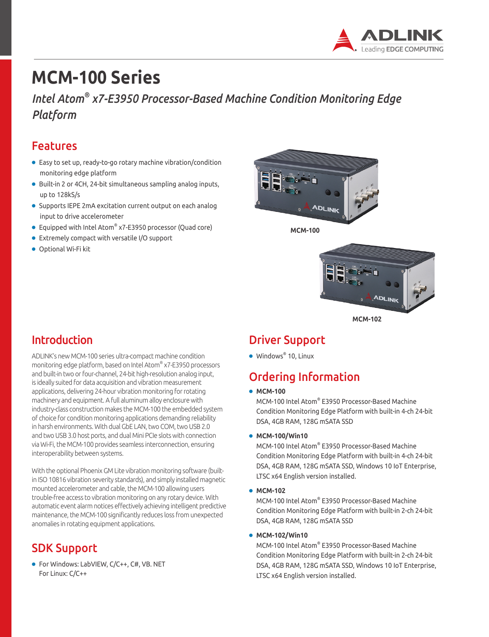

# **MCM-100 Series**

## *Intel Atom® x7-E3950 Processor-Based Machine Condition Monitoring Edge Platform*

### Features

- Easy to set up, ready-to-go rotary machine vibration/condition monitoring edge platform
- Built-in 2 or 4CH, 24-bit simultaneous sampling analog inputs, up to 128kS/s
- Supports IEPE 2mA excitation current output on each analog input to drive accelerometer
- Equipped with Intel Atom® x7-E3950 processor (Quad core)
- Extremely compact with versatile I/O support
- Optional Wi-Fi kit



**MCM-100**



**MCM-102**

# Introduction

ADLINK's new MCM-100 series ultra-compact machine condition monitoring edge platform, based on Intel Atom® x7-E3950 processors and built-in two or four-channel, 24-bit high-resolution analog input, is ideally suited for data acquisition and vibration measurement applications, delivering 24-hour vibration monitoring for rotating machinery and equipment. A full aluminum alloy enclosure with industry-class construction makes the MCM-100 the embedded system of choice for condition monitoring applications demanding reliability in harsh environments. With dual GbE LAN, two COM, two USB 2.0 and two USB 3.0 host ports, and dual Mini PCIe slots with connection via Wi-Fi, the MCM-100 provides seamless interconnection, ensuring interoperability between systems.

With the optional Phoenix GM Lite vibration monitoring software (builtin ISO 10816 vibration severity standards), and simply installed magnetic mounted accelerometer and cable, the MCM-100 allowing users trouble-free access to vibration monitoring on any rotary device. With automatic event alarm notices effectively achieving intelligent predictive maintenance, the MCM-100 significantly reduces loss from unexpected anomalies in rotating equipment applications.

### SDK Support

● For Windows: LabVIEW, C/C++, C#, VB. NET For Linux: C/C++

### Driver Support

● Windows<sup>®</sup> 10, Linux

# Ordering Information

● **MCM-100**

MCM-100 Intel Atom® E3950 Processor-Based Machine Condition Monitoring Edge Platform with built-in 4-ch 24-bit DSA, 4GB RAM, 128G mSATA SSD

● **MCM-100/Win10**

MCM-100 Intel Atom® E3950 Processor-Based Machine Condition Monitoring Edge Platform with built-in 4-ch 24-bit DSA, 4GB RAM, 128G mSATA SSD, Windows 10 IoT Enterprise, LTSC x64 English version installed.

#### ● **MCM-102**

MCM-100 Intel Atom® E3950 Processor-Based Machine Condition Monitoring Edge Platform with built-in 2-ch 24-bit DSA, 4GB RAM, 128G mSATA SSD

#### ● **MCM-102/Win10**

MCM-100 Intel Atom® E3950 Processor-Based Machine Condition Monitoring Edge Platform with built-in 2-ch 24-bit DSA, 4GB RAM, 128G mSATA SSD, Windows 10 IoT Enterprise, LTSC x64 English version installed.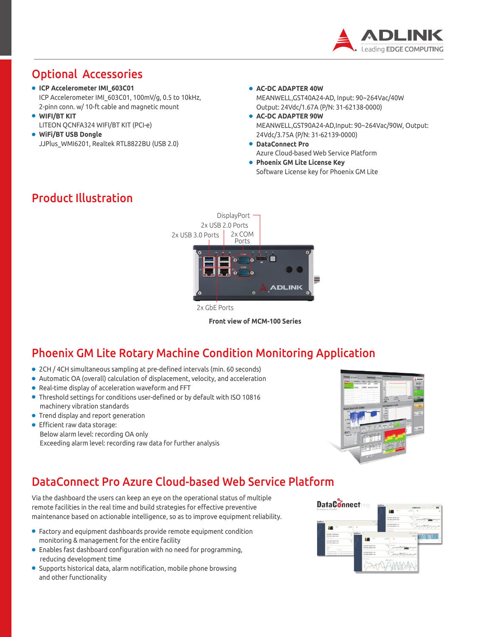

## Optional Accessories

- **ICP Accelerometer IMI\_603C01** ICP Accelerometer IMI\_603C01, 100mV/g, 0.5 to 10kHz, 2-pinn conn. w/ 10-ft cable and magnetic mount
- **WIFI/BT KIT** LITEON QCNFA324 WIFI/BT KIT (PCI-e)
- **WiFi/BT USB Dongle** JJPlus\_WMI6201, Realtek RTL8822BU (USB 2.0)
- **AC-DC ADAPTER 40W** MEANWELL,GST40A24-AD, Input: 90~264Vac/40W Output: 24Vdc/1.67A (P/N: 31-62138-0000)
- **AC-DC ADAPTER 90W** MEANWELL,GST90A24-AD,Input: 90~264Vac/90W, Output: 24Vdc/3.75A (P/N: 31-62139-0000)
- **DataConnect Pro** Azure Cloud-based Web Service Platform
- **Phoenix GM Lite License Key** Software License key for Phoenix GM Lite



2x GbE Ports

**Front view of MCM-100 Series**

### Phoenix GM Lite Rotary Machine Condition Monitoring Application

- 2CH / 4CH simultaneous sampling at pre-defined intervals (min. 60 seconds)
- Automatic OA (overall) calculation of displacement, velocity, and acceleration
- Real-time display of acceleration waveform and FFT
- Threshold settings for conditions user-defined or by default with ISO 10816 machinery vibration standards
- Trend display and report generation
- Efficient raw data storage: Below alarm level: recording OA only Exceeding alarm level: recording raw data for further analysis



### DataConnect Pro Azure Cloud-based Web Service Platform

Via the dashboard the users can keep an eye on the operational status of multiple remote facilities in the real time and build strategies for effective preventive maintenance based on actionable intelligence, so as to improve equipment reliability.

- Factory and equipment dashboards provide remote equipment condition monitoring & management for the entire facility
- Enables fast dashboard configuration with no need for programming, reducing development time
- Supports historical data, alarm notification, mobile phone browsing and other functionality



### Product Illustration